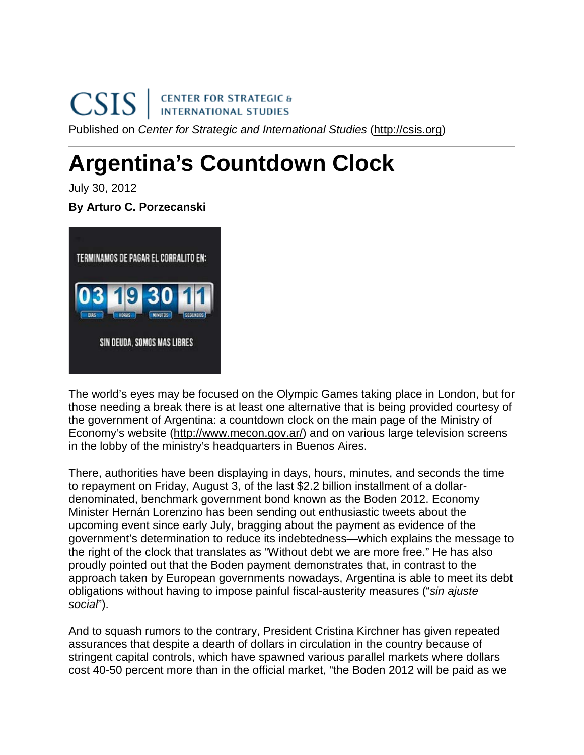## CENTER FOR STRATEGIC &<br>INTERNATIONAL STUDIES **CSIS** Published on *Center for Strategic and International Studies* [\(http://csis.org\)](http://csis.org/)

## **Argentina's Countdown Clock**

July 30, 2012

## **By Arturo C. Porzecanski**



The world's eyes may be focused on the Olympic Games taking place in London, but for those needing a break there is at least one alternative that is being provided courtesy of the government of Argentina: a countdown clock on the main page of the Ministry of Economy's website [\(http://www.mecon.gov.ar/\)](http://www.mecon.gov.ar/) and on various large television screens in the lobby of the ministry's headquarters in Buenos Aires.

There, authorities have been displaying in days, hours, minutes, and seconds the time to repayment on Friday, August 3, of the last \$2.2 billion installment of a dollardenominated, benchmark government bond known as the Boden 2012. Economy Minister Hernán Lorenzino has been sending out enthusiastic tweets about the upcoming event since early July, bragging about the payment as evidence of the government's determination to reduce its indebtedness—which explains the message to the right of the clock that translates as "Without debt we are more free." He has also proudly pointed out that the Boden payment demonstrates that, in contrast to the approach taken by European governments nowadays, Argentina is able to meet its debt obligations without having to impose painful fiscal-austerity measures ("*sin ajuste social*").

And to squash rumors to the contrary, President Cristina Kirchner has given repeated assurances that despite a dearth of dollars in circulation in the country because of stringent capital controls, which have spawned various parallel markets where dollars cost 40-50 percent more than in the official market, "the Boden 2012 will be paid as we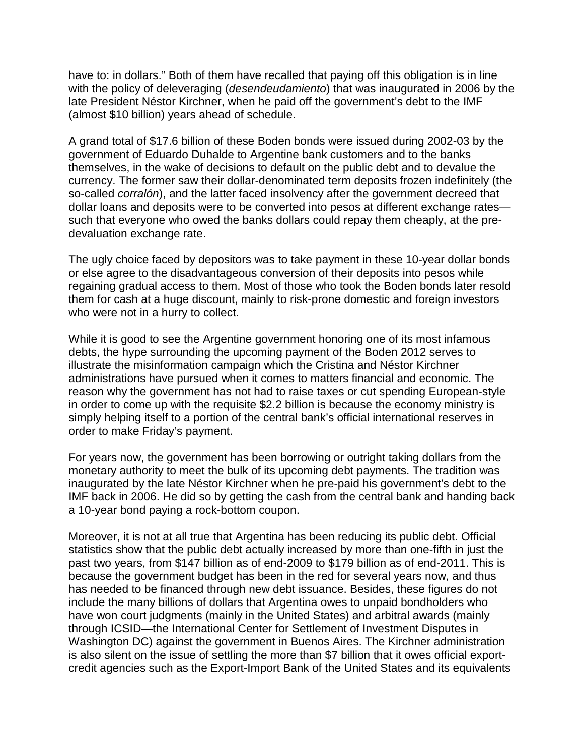have to: in dollars." Both of them have recalled that paying off this obligation is in line with the policy of deleveraging (*desendeudamiento*) that was inaugurated in 2006 by the late President Néstor Kirchner, when he paid off the government's debt to the IMF (almost \$10 billion) years ahead of schedule.

A grand total of \$17.6 billion of these Boden bonds were issued during 2002-03 by the government of Eduardo Duhalde to Argentine bank customers and to the banks themselves, in the wake of decisions to default on the public debt and to devalue the currency. The former saw their dollar-denominated term deposits frozen indefinitely (the so-called *corralón*), and the latter faced insolvency after the government decreed that dollar loans and deposits were to be converted into pesos at different exchange rates such that everyone who owed the banks dollars could repay them cheaply, at the predevaluation exchange rate.

The ugly choice faced by depositors was to take payment in these 10-year dollar bonds or else agree to the disadvantageous conversion of their deposits into pesos while regaining gradual access to them. Most of those who took the Boden bonds later resold them for cash at a huge discount, mainly to risk-prone domestic and foreign investors who were not in a hurry to collect.

While it is good to see the Argentine government honoring one of its most infamous debts, the hype surrounding the upcoming payment of the Boden 2012 serves to illustrate the misinformation campaign which the Cristina and Néstor Kirchner administrations have pursued when it comes to matters financial and economic. The reason why the government has not had to raise taxes or cut spending European-style in order to come up with the requisite \$2.2 billion is because the economy ministry is simply helping itself to a portion of the central bank's official international reserves in order to make Friday's payment.

For years now, the government has been borrowing or outright taking dollars from the monetary authority to meet the bulk of its upcoming debt payments. The tradition was inaugurated by the late Néstor Kirchner when he pre-paid his government's debt to the IMF back in 2006. He did so by getting the cash from the central bank and handing back a 10-year bond paying a rock-bottom coupon.

Moreover, it is not at all true that Argentina has been reducing its public debt. Official statistics show that the public debt actually increased by more than one-fifth in just the past two years, from \$147 billion as of end-2009 to \$179 billion as of end-2011. This is because the government budget has been in the red for several years now, and thus has needed to be financed through new debt issuance. Besides, these figures do not include the many billions of dollars that Argentina owes to unpaid bondholders who have won court judgments (mainly in the United States) and arbitral awards (mainly through ICSID—the International Center for Settlement of Investment Disputes in Washington DC) against the government in Buenos Aires. The Kirchner administration is also silent on the issue of settling the more than \$7 billion that it owes official exportcredit agencies such as the Export-Import Bank of the United States and its equivalents